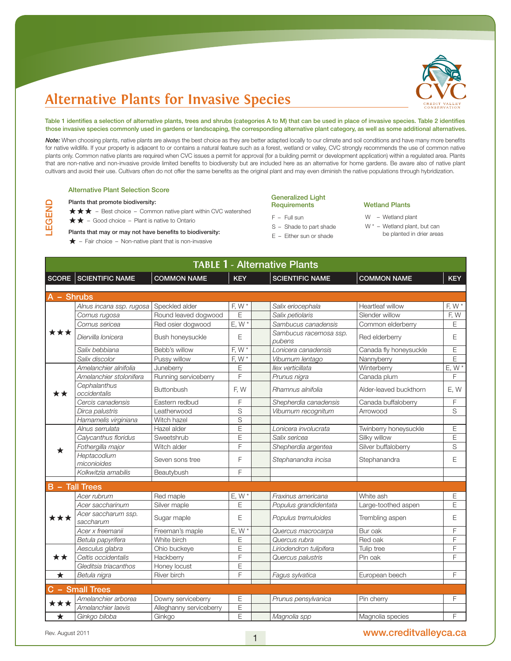

Table 1 identifies a selection of alternative plants, trees and shrubs (categories A to M) that can be used in place of invasive species. Table 2 identifies those invasive species commonly used in gardens or landscaping, the corresponding alternative plant category, as well as some additional alternatives.

*Note:* When choosing plants, native plants are always the best choice as they are better adapted locally to our climate and soil conditions and have many more benefits for native wildlife. If your property is adjacent to or contains a natural feature such as a forest, wetland or valley, CVC strongly recommends the use of common native plants only. Common native plants are required when CVC issues a permit for approval (for a building permit or development application) within a regulated area. Plants that are non-native and non-invasive provide limited benefits to biodiversity but are included here as an alternative for home gardens. Be aware also of native plant cultivars and avoid their use. Cultivars often do not offer the same benefits as the original plant and may even diminish the native populations through hybridization.

#### Alternative Plant Selection Score

### Plants that promote biodiversity:

LEGEND

 $\star \star \star$  – Best choice – Common native plant within CVC watershed

 $\star \star$  – Good choice – Plant is native to Ontario

### Plants that may or may not have benefits to biodiversity:

 $\bigstar$  – Fair choice – Non-native plant that is non-invasive

### Generalized Light **Requirements**

- F Full sun
- S Shade to part shade
- E Either sun or shade

### Wetland Plants

- W Wetland plant
- W \* Wetland plant, but can
- be planted in drier areas

| <b>TABLE 1 - Alternative Plants</b> |                                  |                         |                |                                  |                        |             |  |  |
|-------------------------------------|----------------------------------|-------------------------|----------------|----------------------------------|------------------------|-------------|--|--|
|                                     | <b>SCORE SCIENTIFIC NAME</b>     | <b>COMMON NAME</b>      | <b>KEY</b>     | <b>SCIENTIFIC NAME</b>           | <b>COMMON NAME</b>     | <b>KEY</b>  |  |  |
| A - Shrubs                          |                                  |                         |                |                                  |                        |             |  |  |
|                                     | Alnus incana ssp. rugosa         | Speckled alder          | F, W $*$       | Salix eriocephala                | Heartleaf willow       | F, W $*$    |  |  |
|                                     | Cornus rugosa                    | Round leaved dogwood    | E              | Salix petiolaris                 | Slender willow         | F, W        |  |  |
|                                     | Cornus sericea                   | Red osier dogwood       | $E, W^*$       | Sambucus canadensis              | Common elderberry      | E           |  |  |
| ***                                 | Diervilla Ionicera               | Bush honeysuckle        | E              | Sambucus racemosa ssp.<br>pubens | Red elderberry         | Ε           |  |  |
|                                     | Salix bebbiana                   | Bebb's willow           | F, W*          | Lonicera canadensis              | Canada fly honeysuckle | $\mathsf E$ |  |  |
|                                     | Salix discolor                   | Pussy willow            | F, W $*$       | Viburnum lentago                 | Nannyberry             | E           |  |  |
|                                     | Amelanchier alnifolia            | Juneberry               | Е              | llex verticillata                | Winterberry            | $E, W^*$    |  |  |
|                                     | Amelanchier stolonifera          | Running serviceberry    | F              | Prunus nigra                     | Canada plum            | F           |  |  |
| **                                  | Cephalanthus<br>occidentalis     | Buttonbush              | F, W           | Rhamnus alnifolia                | Alder-leaved buckthorn | E, W        |  |  |
|                                     | Cercis canadensis                | Eastern redbud          | F              | Shepherdia canadensis            | Canada buffaloberry    | F           |  |  |
|                                     | Dirca palustris                  | Leatherwood             | $\mathsf S$    | Viburnum recognitum              | Arrowood               | $\mathbb S$ |  |  |
|                                     | Hamamelis virginiana             | Witch hazel             | S              |                                  |                        |             |  |  |
|                                     | Alnus serrulata                  | Hazel alder             | E              | Lonicera involucrata             | Twinberry honeysuckle  | Ε           |  |  |
|                                     | Calycanthus floridus             | Sweetshrub              | E              | Salix sericea                    | Silky willow           | $\mathsf E$ |  |  |
|                                     | Fothergilla major                | Witch alder             | F              | Shepherdia argentea              | Silver buffaloberry    | S           |  |  |
|                                     | Heptacodium<br>miconioides       | Seven sons tree         | F              | Stephanandra incisa              | Stephanandra           | E           |  |  |
|                                     | Kolkwitzia amabilis              | Beautybush              | F              |                                  |                        |             |  |  |
|                                     |                                  |                         |                |                                  |                        |             |  |  |
|                                     | <b>B</b> - Tall Trees            |                         |                |                                  |                        |             |  |  |
|                                     | Acer rubrum                      | Red maple               | E, W           | Fraxinus americana               | White ash              | Ε           |  |  |
|                                     | Acer saccharinum                 | Silver maple            | E              | Populus grandidentata            | Large-toothed aspen    | E           |  |  |
| ***                                 | Acer saccharum ssp.<br>saccharum | Sugar maple             | E              | Populus tremuloides              | Trembling aspen        | $\mathsf E$ |  |  |
|                                     | Acer x freemanii                 | Freeman's maple         | $E, W^*$       | Quercus macrocarpa               | Bur oak                | F           |  |  |
|                                     | Betula papyrifera                | White birch             | E              | Quercus rubra                    | Red oak                | F           |  |  |
|                                     | Aesculus glabra                  | Ohio buckeye            | E              | Liriodendron tulipifera          | Tulip tree             | F           |  |  |
| **                                  | Celtis occidentalis              | Hackberry               | F              | Quercus palustris                | Pin oak                | F           |  |  |
|                                     | Gleditsia triacanthos            | Honey locust            | E              |                                  |                        |             |  |  |
| $\star$                             | Betula nigra                     | River birch             | F              | Fagus sylvatica                  | European beech         | F           |  |  |
|                                     | C - Small Trees                  |                         |                |                                  |                        |             |  |  |
|                                     | Amelanchier arborea              | Downy serviceberry      | E              | Prunus pensylvanica              | Pin cherry             | F           |  |  |
| ★★★                                 | Amelanchier laevis               | Alleghanny serviceberry | E              |                                  |                        |             |  |  |
| $\star$                             | Ginkgo biloba                    | Ginkgo                  | $\overline{E}$ | Magnolia spp                     | Magnolia species       | F           |  |  |

Rev. August 2011 **WWW.creditvalleyca.ca** 2011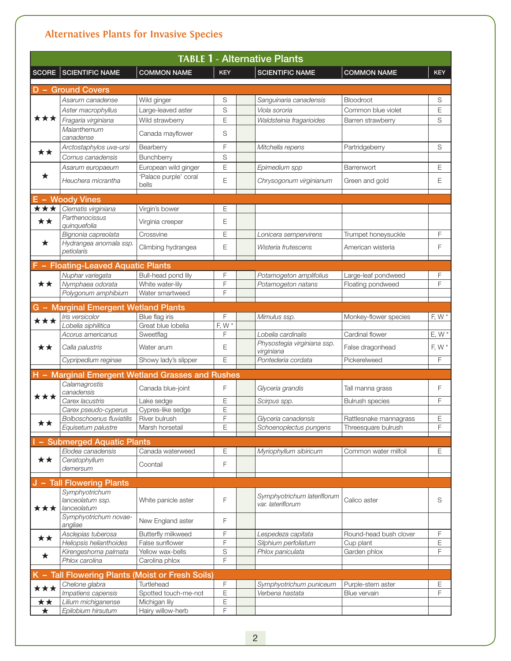| <b>TABLE 1 - Alternative Plants</b> |                                                  |                                |            |                                                  |                        |            |  |
|-------------------------------------|--------------------------------------------------|--------------------------------|------------|--------------------------------------------------|------------------------|------------|--|
| <b>SCORE</b>                        | <b>SCIENTIFIC NAME</b>                           | <b>COMMON NAME</b>             | <b>KEY</b> | <b>SCIENTIFIC NAME</b>                           | <b>COMMON NAME</b>     | <b>KEY</b> |  |
|                                     | <b>D</b> - Ground Covers                         |                                |            |                                                  |                        |            |  |
|                                     | Asarum canadense                                 | Wild ginger                    | S          | Sanguinaria canadensis                           | <b>Bloodroot</b>       | S          |  |
|                                     | Aster macrophyllus                               | Large-leaved aster             | S          | Viola sororia                                    | Common blue violet     | E          |  |
| ***                                 | Fragaria virginiana                              | Wild strawberry                | E          | Waldsteinia fragarioides                         | Barren strawberry      | S          |  |
|                                     | Maianthemum                                      | Canada mayflower               | S          |                                                  |                        |            |  |
|                                     | canadense                                        |                                |            |                                                  |                        |            |  |
| ★★                                  | Arctostaphylos uva-ursi                          | Bearberry                      | F          | Mitchella repens                                 | Partridgeberry         | S          |  |
|                                     | Cornus canadensis                                | Bunchberry                     | S          |                                                  |                        |            |  |
| ★                                   | Asarum europaeum                                 | European wild ginger           | E          | Epimedium spp                                    | Barrenwort             | E          |  |
|                                     | Heuchera micrantha                               | 'Palace purple' coral<br>bells | E          | Chrysogonum virginianum                          | Green and gold         | Ε          |  |
|                                     | E - Woody Vines                                  |                                |            |                                                  |                        |            |  |
| ***                                 | Clematis virginiana                              | Virgin's bower                 | E          |                                                  |                        |            |  |
| **                                  | Parthenocissus<br>quinquefolia                   | Virginia creeper               | E          |                                                  |                        |            |  |
|                                     | Bignonia capreolata                              | Crossvine                      | E          | Lonicera sempervirens                            | Trumpet honeysuckle    | F          |  |
| $\star$                             | Hydrangea anomala ssp.                           | Climbing hydrangea             | E          | Wisteria frutescens                              | American wisteria      | F          |  |
|                                     | petiolaris                                       |                                |            |                                                  |                        |            |  |
|                                     | F - Floating-Leaved Aquatic Plants               |                                |            |                                                  |                        |            |  |
|                                     | Nuphar variegata                                 | Bull-head pond lily            | F          | Potamogeton amplifolius                          | Large-leaf pondweed    | F          |  |
| **                                  | Nymphaea odorata                                 | White water-lilv               | F          | Potamogeton natans                               | Floating pondweed      | F          |  |
|                                     | Polygonum amphibium                              | Water smartweed                | F          |                                                  |                        |            |  |
|                                     | G - Marginal Emergent Wetland Plants             |                                |            |                                                  |                        |            |  |
|                                     | Iris versicolor                                  | Blue flag iris                 | F          | Mimulus ssp.                                     | Monkey-flower species  | F, W $*$   |  |
| ***                                 | Lobelia siphilitica                              | Great blue lobelia             | F, W $*$   |                                                  |                        |            |  |
|                                     | Acorus americanus                                | Sweetflag                      | F          | Lobelia cardinalis                               | Cardinal flower        | $E, W^*$   |  |
| **                                  | Calla palustris                                  | Water arum                     | E          | Physostegia virginiana ssp.<br>virginiana        | False dragonhead       | F, W $*$   |  |
|                                     | Cypripedium reginae                              | Showy lady's slipper           | Ε          | Pontederia cordata                               | Pickerelweed           | F          |  |
|                                     | H - Marginal Emergent Wetland Grasses and Rushes |                                |            |                                                  |                        |            |  |
|                                     | Calamagrostis<br>canadensis                      | Canada blue-joint              | F          | Glyceria grandis                                 | Tall manna grass       | F          |  |
| ★★★                                 | Carex lacustris                                  | Lake sedge                     | E          | Scirpus spp.                                     | <b>Bulrush species</b> | F          |  |
|                                     | Carex pseudo-cyperus                             | Cypres-like sedge              | E          |                                                  |                        |            |  |
|                                     | <b>Bolboschoenus fluviatilis</b>                 | River bulrush                  | F          | Glyceria canadensis                              | Rattlesnake mannagrass | Е          |  |
|                                     | Equisetum palustre                               | Marsh horsetail                | Ε          | Schoenoplectus pungens                           | Threesquare bulrush    | F          |  |
|                                     | - Submerged Aquatic Plants                       |                                |            |                                                  |                        |            |  |
|                                     | Elodea canadensis                                | Canada waterweed               | Ε          | Myriophyllum sibiricum                           | Common water milfoil   | Ε          |  |
| **                                  | Ceratophyllum<br>demersum                        | Coontail                       | F          |                                                  |                        |            |  |
|                                     | - Tall Flowering Plants                          |                                |            |                                                  |                        |            |  |
|                                     | Symphyotrichum                                   |                                |            |                                                  |                        |            |  |
| ***                                 | lanceolatum ssp.<br>lanceolatum                  | White panicle aster            | F          | Symphyotrichum lateriflorum<br>var. lateriflorum | Calico aster           | S          |  |
|                                     | Symphyotrichum novae-<br>angliae                 | New England aster              | F          |                                                  |                        |            |  |
|                                     | Asclepias tuberosa                               | Butterfly milkweed             | F          | Lespedeza capitata                               | Round-head bush clover | F          |  |
| **                                  | Heliopsis helianthoides                          | False sunflower                | F          | Silphium perfoliatum                             | Cup plant              | Ε          |  |
| ★                                   | Kirengeshoma palmata                             | Yellow wax-bells               | S          | Phlox paniculata                                 | Garden phlox           | F          |  |
|                                     | Phlox carolina                                   | Carolina phlox                 | F          |                                                  |                        |            |  |
|                                     | K - Tall Flowering Plants (Moist or Fresh Soils) |                                |            |                                                  |                        |            |  |
| ***                                 | Chelone glabra                                   | Turtlehead                     | F          | Symphyotrichum puniceum                          | Purple-stem aster      | Ε          |  |
|                                     | Impatiens capensis                               | Spotted touch-me-not           | E          | Verbena hastata                                  | Blue vervain           | F          |  |
| ★★                                  | Lilium michiganense                              | Michigan lily                  | E          |                                                  |                        |            |  |
| ★                                   | Epilobium hirsutum                               | Hairy willow-herb              | F          |                                                  |                        |            |  |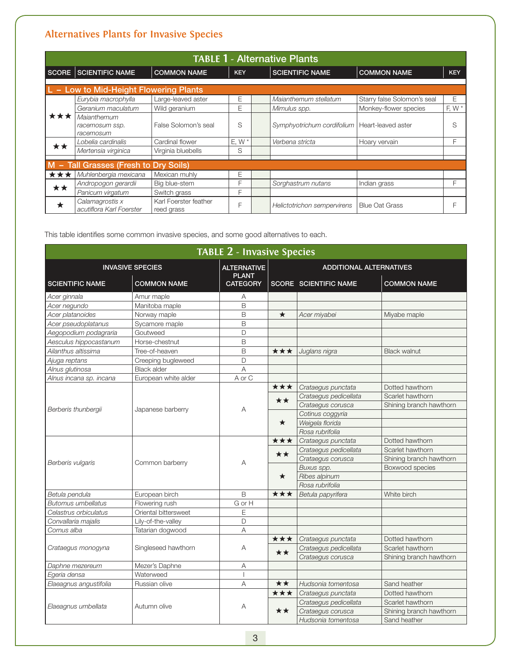| <b>TABLE 1 - Alternative Plants</b> |                                             |                                     |            |  |                                                 |                             |            |  |  |  |
|-------------------------------------|---------------------------------------------|-------------------------------------|------------|--|-------------------------------------------------|-----------------------------|------------|--|--|--|
|                                     | <b>SCORE SCIENTIFIC NAME</b>                | <b>COMMON NAME</b>                  | <b>KEY</b> |  | <b>SCIENTIFIC NAME</b>                          | <b>COMMON NAME</b>          | <b>KEY</b> |  |  |  |
|                                     | - Low to Mid-Height Flowering Plants        |                                     |            |  |                                                 |                             |            |  |  |  |
|                                     | Eurybia macrophylla                         | Large-leaved aster                  | E          |  | Maianthemum stellatum                           | Starry false Solomon's seal | E          |  |  |  |
|                                     | Geranium maculatum                          | Wild geranium                       | Е          |  | Mimulus spp.                                    | Monkey-flower species       | F, W $*$   |  |  |  |
| ***                                 | Maianthemum<br>racemosum ssp.<br>racemosum  | False Solomon's seal                | S          |  | Symphyotrichum cordifolium   Heart-leaved aster |                             | S          |  |  |  |
| **                                  | Lobelia cardinalis                          | Cardinal flower                     | $E.W*$     |  | Verbena stricta                                 | Hoary vervain               | F          |  |  |  |
|                                     | Mertensia virginica                         | Virginia bluebells                  | S          |  |                                                 |                             |            |  |  |  |
|                                     | M - Tall Grasses (Fresh to Dry Soils)       |                                     |            |  |                                                 |                             |            |  |  |  |
| ★★★                                 | Muhlenbergia mexicana                       | Mexican muhly                       | Ε          |  |                                                 |                             |            |  |  |  |
| **                                  | Andropogon gerardii                         | Big blue-stem                       | F          |  | Sorghastrum nutans                              | Indian grass                | F          |  |  |  |
|                                     | Panicum virgatum                            | Switch grass                        | F          |  |                                                 |                             |            |  |  |  |
| ★                                   | Calamagrostis x<br>acutiflora Karl Foerster | Karl Foerster feather<br>reed grass | F          |  | Helictotrichon sempervirens                     | <b>Blue Oat Grass</b>       | F          |  |  |  |

This table identifies some common invasive species, and some good alternatives to each.

| <b>TABLE 2 - Invasive Species</b>            |                      |                                    |                                |                              |                         |  |  |  |
|----------------------------------------------|----------------------|------------------------------------|--------------------------------|------------------------------|-------------------------|--|--|--|
| <b>INVASIVE SPECIES</b>                      |                      | <b>ALTERNATIVE</b><br><b>PLANT</b> | <b>ADDITIONAL ALTERNATIVES</b> |                              |                         |  |  |  |
| <b>COMMON NAME</b><br><b>SCIENTIFIC NAME</b> |                      | <b>CATEGORY</b>                    |                                | <b>SCORE SCIENTIFIC NAME</b> | <b>COMMON NAME</b>      |  |  |  |
| Acer ginnala                                 | Amur maple           | A                                  |                                |                              |                         |  |  |  |
| Acer negundo                                 | Manitoba maple       | B                                  |                                |                              |                         |  |  |  |
| Acer platanoides                             | Norway maple         | B                                  | $\star$                        | Acer miyabei                 | Miyabe maple            |  |  |  |
| Acer pseudoplatanus                          | Sycamore maple       | B                                  |                                |                              |                         |  |  |  |
| Aegopodium podagraria                        | Goutweed             | D                                  |                                |                              |                         |  |  |  |
| Aesculus hippocastanum                       | Horse-chestnut       | B                                  |                                |                              |                         |  |  |  |
| Ailanthus altissima                          | Tree-of-heaven       | B                                  | ★★★                            | Juglans nigra                | <b>Black walnut</b>     |  |  |  |
| Ajuga reptans                                | Creeping bugleweed   | D                                  |                                |                              |                         |  |  |  |
| Alnus glutinosa                              | <b>Black alder</b>   | A                                  |                                |                              |                         |  |  |  |
| Alnus incana sp. incana                      | European white alder | A or C                             |                                |                              |                         |  |  |  |
|                                              |                      |                                    | ***                            | Crataegus punctata           | Dotted hawthorn         |  |  |  |
|                                              |                      |                                    | **                             | Crataegus pedicellata        | Scarlet hawthorn        |  |  |  |
|                                              | Japanese barberry    |                                    |                                | Crataegus corusca            | Shining branch hawthorn |  |  |  |
| Berberis thunbergii                          |                      | A                                  | $\star$                        | Cotinus coggyria             |                         |  |  |  |
|                                              |                      |                                    |                                | Weigela florida              |                         |  |  |  |
|                                              |                      |                                    |                                | Rosa rubrifolia              |                         |  |  |  |
|                                              | Common barberry      |                                    | ***                            | Crataegus punctata           | Dotted hawthorn         |  |  |  |
|                                              |                      |                                    | **                             | Crataegus pedicellata        | Scarlet hawthorn        |  |  |  |
| Berberis vulgaris                            |                      | A                                  |                                | Crataegus corusca            | Shining branch hawthorn |  |  |  |
|                                              |                      |                                    |                                | Buxus spp.                   | Boxwood species         |  |  |  |
|                                              |                      |                                    | $\star$                        | Ribes alpinum                |                         |  |  |  |
|                                              |                      |                                    |                                | Rosa rubrifolia              |                         |  |  |  |
| Betula pendula                               | European birch       | B                                  | ★★★                            | Betula papyrifera            | White birch             |  |  |  |
| <b>Butomus umbellatus</b>                    | Flowering rush       | G or H                             |                                |                              |                         |  |  |  |
| Celastrus orbiculatus                        | Oriental bittersweet | E                                  |                                |                              |                         |  |  |  |
| Convallaria majalis                          | Lily-of-the-valley   | D                                  |                                |                              |                         |  |  |  |
| Cornus alba                                  | Tatarian dogwood     | $\overline{A}$                     |                                |                              |                         |  |  |  |
|                                              |                      |                                    | ★★★                            | Crataegus punctata           | Dotted hawthorn         |  |  |  |
| Crataegus monogyna                           | Singleseed hawthorn  | A                                  | **                             | Crataegus pedicellata        | Scarlet hawthorn        |  |  |  |
|                                              |                      |                                    |                                | Crataegus corusca            | Shining branch hawthorn |  |  |  |
| Daphne mezereum                              | Mezer's Daphne       | A                                  |                                |                              |                         |  |  |  |
| Egeria densa                                 | Waterweed            | $\overline{\phantom{a}}$           |                                |                              |                         |  |  |  |
| Elaeagnus angustifolia                       | Russian olive        | A                                  | ★★                             | Hudsonia tomentosa           | Sand heather            |  |  |  |
|                                              | Autumn olive         |                                    | ***                            | Crataegus punctata           | Dotted hawthorn         |  |  |  |
|                                              |                      |                                    | **                             | Crataegus pedicellata        | Scarlet hawthorn        |  |  |  |
| Elaeagnus umbellata                          |                      | A                                  |                                | Crataegus corusca            | Shining branch hawthorn |  |  |  |
|                                              |                      |                                    |                                | Hudsonia tomentosa           | Sand heather            |  |  |  |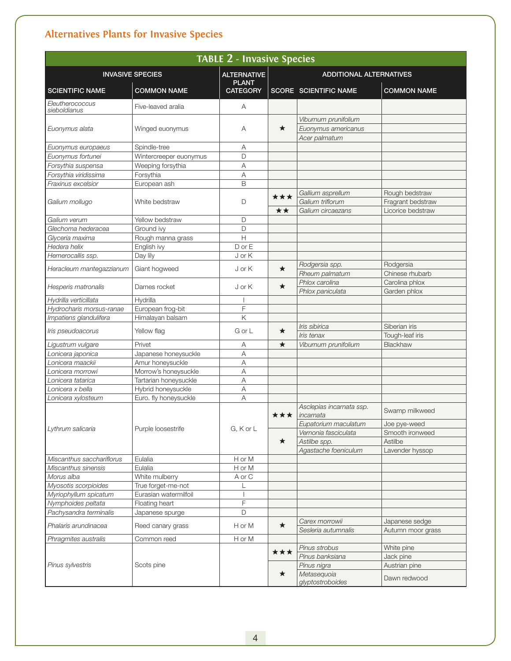| <b>TABLE 2 - Invasive Species</b> |                        |                                    |                                |                                              |                                 |  |  |  |
|-----------------------------------|------------------------|------------------------------------|--------------------------------|----------------------------------------------|---------------------------------|--|--|--|
| <b>INVASIVE SPECIES</b>           |                        | <b>ALTERNATIVE</b><br><b>PLANT</b> | <b>ADDITIONAL ALTERNATIVES</b> |                                              |                                 |  |  |  |
| <b>SCIENTIFIC NAME</b>            | <b>COMMON NAME</b>     | <b>CATEGORY</b>                    |                                | <b>SCORE SCIENTIFIC NAME</b>                 | <b>COMMON NAME</b>              |  |  |  |
| Eleutherococcus<br>sieboldianus   | Five-leaved aralia     | Α                                  |                                |                                              |                                 |  |  |  |
|                                   |                        |                                    |                                | Viburnum prunifolium                         |                                 |  |  |  |
| Euonymus alata                    | Winged euonymus        | A                                  | ★                              | Euonymus americanus                          |                                 |  |  |  |
|                                   |                        |                                    |                                | Acer palmatum                                |                                 |  |  |  |
| Euonymus europaeus                | Spindle-tree           | Α                                  |                                |                                              |                                 |  |  |  |
| Euonymus fortunei                 | Wintercreeper euonymus | D                                  |                                |                                              |                                 |  |  |  |
| Forsythia suspensa                | Weeping forsythia      | Α                                  |                                |                                              |                                 |  |  |  |
| Forsythia viridissima             | Forsythia              | Α                                  |                                |                                              |                                 |  |  |  |
| Fraxinus excelsior                | European ash           | B                                  |                                |                                              |                                 |  |  |  |
|                                   |                        |                                    | ***                            | Gallium asprellum                            | Rough bedstraw                  |  |  |  |
| Galium mollugo                    | White bedstraw         | $\mathsf D$                        |                                | Galium triflorum                             | Fragrant bedstraw               |  |  |  |
|                                   |                        |                                    | ★★                             | Galium circaezans                            | Licorice bedstraw               |  |  |  |
| Galium verum                      | Yellow bedstraw        | D                                  |                                |                                              |                                 |  |  |  |
| Glechoma hederacea                | Ground ivy             | D                                  |                                |                                              |                                 |  |  |  |
| Glyceria maxima                   | Rough manna grass      | $\overline{H}$                     |                                |                                              |                                 |  |  |  |
| Hedera helix                      | English ivy            | $D$ or $E$                         |                                |                                              |                                 |  |  |  |
| Hemerocallis ssp.                 | Day lily               | J or K                             |                                |                                              |                                 |  |  |  |
|                                   | Giant hogweed          | J or K                             | $\star$                        | Rodgersia spp.                               | Rodgersia                       |  |  |  |
| Heracleum mantegazzianum          |                        |                                    |                                | Rheum palmatum                               | Chinese rhubarb                 |  |  |  |
| Hesperis matronalis               |                        |                                    | $\star$                        | Phlox carolina                               | Carolina phlox                  |  |  |  |
|                                   | Dames rocket           | J or K                             |                                | Phlox paniculata                             | Garden phlox                    |  |  |  |
| Hydrilla verticillata             | Hydrilla               |                                    |                                |                                              |                                 |  |  |  |
| Hydrocharis morsus-ranae          | European frog-bit      | F                                  |                                |                                              |                                 |  |  |  |
| Impatiens glandulifera            | Himalayan balsam       | K                                  |                                |                                              |                                 |  |  |  |
| Iris pseudoacorus                 | Yellow flag            | GorL                               | ★                              | Iris sibirica                                | Siberian iris                   |  |  |  |
|                                   |                        |                                    |                                | Iris tenax                                   | Tough-leaf iris                 |  |  |  |
| Ligustrum vulgare                 | Privet                 | Α                                  | $\star$                        | Viburnum prunifolium                         | Blackhaw                        |  |  |  |
| Lonicera japonica                 | Japanese honeysuckle   | Α                                  |                                |                                              |                                 |  |  |  |
| Lonicera maackii                  | Amur honeysuckle       | Α                                  |                                |                                              |                                 |  |  |  |
| Lonicera morrowi                  | Morrow's honeysuckle   | Α                                  |                                |                                              |                                 |  |  |  |
| Lonicera tatarica                 | Tartarian honeysuckle  | $\overline{A}$                     |                                |                                              |                                 |  |  |  |
| Lonicera x bella                  | Hybrid honeysuckle     | A                                  |                                |                                              |                                 |  |  |  |
| Lonicera xylosteum                | Euro. fly honeysuckle  | A                                  |                                |                                              |                                 |  |  |  |
|                                   | Purple loosestrife     |                                    |                                | Asclepias incarnata ssp.                     | Swamp milkweed                  |  |  |  |
|                                   |                        |                                    | ***                            | incarnata                                    |                                 |  |  |  |
| Lythrum salicaria                 |                        | G, K or L                          |                                | Eupatorium maculatum<br>Vernonia fasciculata | Joe pye-weed<br>Smooth ironweed |  |  |  |
|                                   |                        |                                    | $\star$                        | Astilbe spp.                                 | Astilbe                         |  |  |  |
|                                   |                        |                                    |                                | Agastache foeniculum                         | Lavender hyssop                 |  |  |  |
| Miscanthus sacchariflorus         | Eulalia                | H or M                             |                                |                                              |                                 |  |  |  |
| Miscanthus sinensis               | Eulalia                | H or M                             |                                |                                              |                                 |  |  |  |
| Morus alba                        | White mulberry         | A or C                             |                                |                                              |                                 |  |  |  |
| Myosotis scorpioides              | True forget-me-not     |                                    |                                |                                              |                                 |  |  |  |
| Myriophyllum spicatum             | Eurasian watermilfoil  |                                    |                                |                                              |                                 |  |  |  |
| Nymphoides peltata                | Floating heart         | F                                  |                                |                                              |                                 |  |  |  |
| Pachysandra terminalis            | Japanese spurge        | D                                  |                                |                                              |                                 |  |  |  |
| Phalaris arundinacea              | Reed canary grass      | H or M                             | $\star$                        | Carex morrowii                               | Japanese sedge                  |  |  |  |
|                                   |                        |                                    |                                | Sesleria autumnalis                          | Autumn moor grass               |  |  |  |
| Phragmites australis              | Common reed            | H or M                             |                                |                                              |                                 |  |  |  |
|                                   |                        |                                    | ***<br>$\star$                 | Pinus strobus                                | White pine                      |  |  |  |
|                                   | Scots pine             |                                    |                                | Pinus banksiana                              | Jack pine                       |  |  |  |
| Pinus sylvestris                  |                        |                                    |                                | Pinus nigra                                  | Austrian pine                   |  |  |  |
|                                   |                        |                                    |                                | Metasequoia<br>glyptostroboides              | Dawn redwood                    |  |  |  |